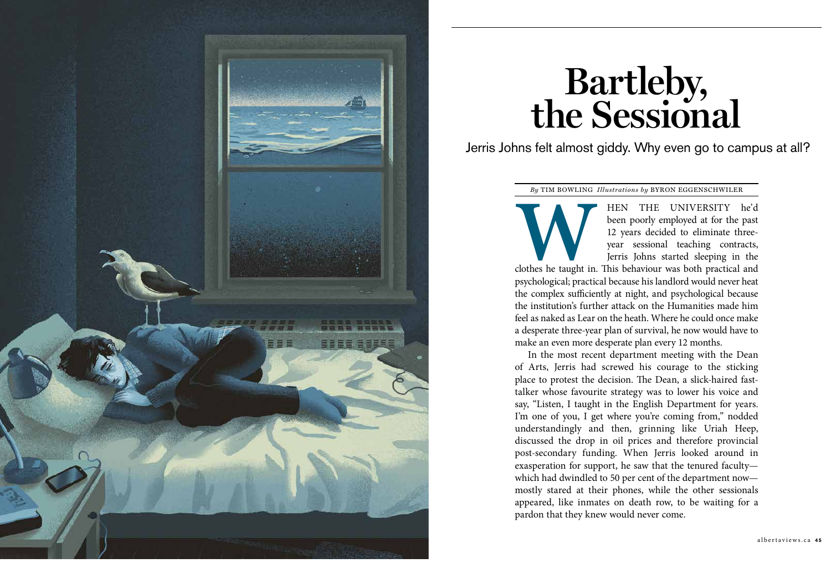

been poorly employed at for the past 12 years decided to eliminate threeyear sessional teaching contracts, Jerris Johns started sleeping in the clothes he taught in. This behaviour was both practical and psychological; practical because his landlord would never heat the complex sufficiently at night, and psychological because the institution's further attack on the Humanities made him feel as naked as Lear on the heath. Where he could once make a desperate three-year plan of survival, he now would have to make an even more desperate plan every 12 months.

In the most recent department meeting with the Dean of Arts, Jerris had screwed his courage to the sticking place to protest the decision. The Dean, a slick-haired fasttalker whose favourite strategy was to lower his voice and say, "Listen, I taught in the English Department for years. I'm one of you, I get where you're coming from," nodded understandingly and then, grinning like Uriah Heep, discussed the drop in oil prices and therefore provincial post-secondary funding. When Jerris looked around in exasperation for support, he saw that the tenured faculty which had dwindled to 50 per cent of the department now mostly stared at their phones, while the other sessionals appeared, like inmates on death row, to be waiting for a pardon that they knew would never come.

# **Bartleby, the Sessional**

Jerris Johns felt almost giddy. Why even go to campus at all?

*By* TIM BOWLING *Illustrations by* BYRON EGGENSCHWILER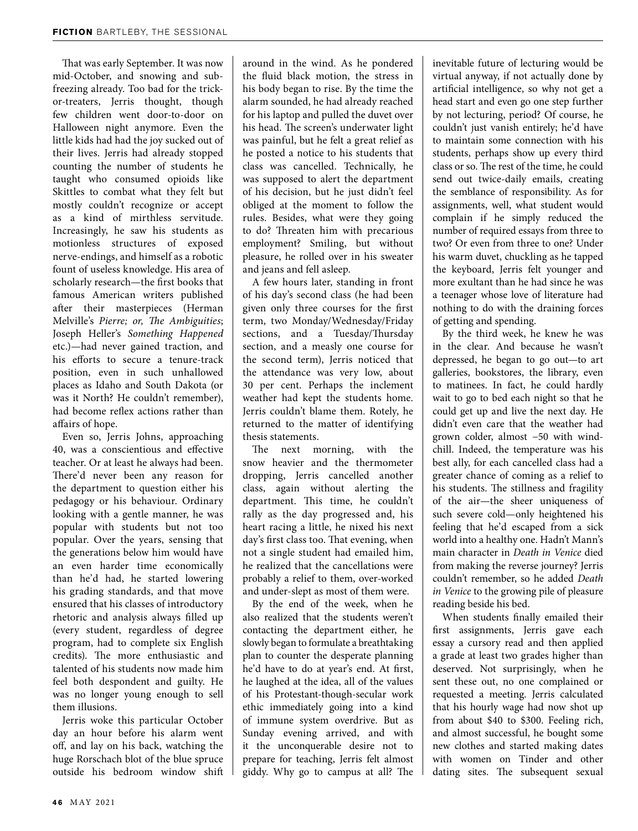That was early September. It was now mid-October, and snowing and subfreezing already. Too bad for the trickor-treaters, Jerris thought, though few children went door-to-door on Halloween night anymore. Even the little kids had had the joy sucked out of their lives. Jerris had already stopped counting the number of students he taught who consumed opioids like Skittles to combat what they felt but mostly couldn't recognize or accept as a kind of mirthless servitude. Increasingly, he saw his students as motionless structures of exposed nerve-endings, and himself as a robotic fount of useless knowledge. His area of scholarly research—the first books that famous American writers published after their masterpieces (Herman Melville's *Pierre; or, The Ambiguities*; Joseph Heller's *Something Happened*  etc.)—had never gained traction, and his efforts to secure a tenure-track position, even in such unhallowed places as Idaho and South Dakota (or was it North? He couldn't remember), had become reflex actions rather than affairs of hope.

Even so, Jerris Johns, approaching 40, was a conscientious and effective teacher. Or at least he always had been. There'd never been any reason for the department to question either his pedagogy or his behaviour. Ordinary looking with a gentle manner, he was popular with students but not too popular. Over the years, sensing that the generations below him would have an even harder time economically than he'd had, he started lowering his grading standards, and that move ensured that his classes of introductory rhetoric and analysis always filled up (every student, regardless of degree program, had to complete six English credits). The more enthusiastic and talented of his students now made him feel both despondent and guilty. He was no longer young enough to sell them illusions.

Jerris woke this particular October day an hour before his alarm went off, and lay on his back, watching the huge Rorschach blot of the blue spruce outside his bedroom window shift around in the wind. As he pondered the fluid black motion, the stress in his body began to rise. By the time the alarm sounded, he had already reached for his laptop and pulled the duvet over his head. The screen's underwater light was painful, but he felt a great relief as he posted a notice to his students that class was cancelled. Technically, he was supposed to alert the department of his decision, but he just didn't feel obliged at the moment to follow the rules. Besides, what were they going to do? Threaten him with precarious employment? Smiling, but without pleasure, he rolled over in his sweater and jeans and fell asleep.

A few hours later, standing in front of his day's second class (he had been given only three courses for the first term, two Monday/Wednesday/Friday sections, and a Tuesday/Thursday section, and a measly one course for the second term), Jerris noticed that the attendance was very low, about 30 per cent. Perhaps the inclement weather had kept the students home. Jerris couldn't blame them. Rotely, he returned to the matter of identifying thesis statements.

The next morning, with the snow heavier and the thermometer dropping, Jerris cancelled another class, again without alerting the department. This time, he couldn't rally as the day progressed and, his heart racing a little, he nixed his next day's first class too. That evening, when not a single student had emailed him, he realized that the cancellations were probably a relief to them, over-worked and under-slept as most of them were.

By the end of the week, when he also realized that the students weren't contacting the department either, he slowly began to formulate a breathtaking plan to counter the desperate planning he'd have to do at year's end. At first, he laughed at the idea, all of the values of his Protestant-though-secular work ethic immediately going into a kind of immune system overdrive. But as Sunday evening arrived, and with it the unconquerable desire not to prepare for teaching, Jerris felt almost giddy. Why go to campus at all? The inevitable future of lecturing would be virtual anyway, if not actually done by artificial intelligence, so why not get a head start and even go one step further by not lecturing, period? Of course, he couldn't just vanish entirely; he'd have to maintain some connection with his students, perhaps show up every third class or so. The rest of the time, he could send out twice-daily emails, creating the semblance of responsibility. As for assignments, well, what student would complain if he simply reduced the number of required essays from three to two? Or even from three to one? Under his warm duvet, chuckling as he tapped the keyboard, Jerris felt younger and more exultant than he had since he was a teenager whose love of literature had nothing to do with the draining forces of getting and spending.

By the third week, he knew he was in the clear. And because he wasn't depressed, he began to go out—to art galleries, bookstores, the library, even to matinees. In fact, he could hardly wait to go to bed each night so that he could get up and live the next day. He didn't even care that the weather had grown colder, almost −50 with windchill. Indeed, the temperature was his best ally, for each cancelled class had a greater chance of coming as a relief to his students. The stillness and fragility of the air—the sheer uniqueness of such severe cold—only heightened his feeling that he'd escaped from a sick world into a healthy one. Hadn't Mann's main character in *Death in Venice* died from making the reverse journey? Jerris couldn't remember, so he added *Death in Venice* to the growing pile of pleasure reading beside his bed.

When students finally emailed their first assignments, Jerris gave each essay a cursory read and then applied a grade at least two grades higher than deserved. Not surprisingly, when he sent these out, no one complained or requested a meeting. Jerris calculated that his hourly wage had now shot up from about \$40 to \$300. Feeling rich, and almost successful, he bought some new clothes and started making dates with women on Tinder and other dating sites. The subsequent sexual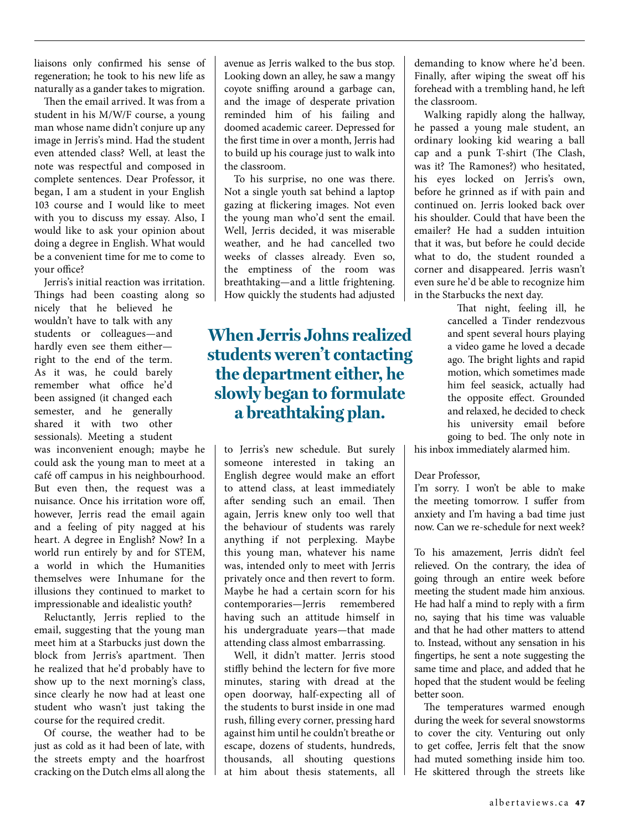liaisons only confirmed his sense of regeneration; he took to his new life as naturally as a gander takes to migration.

Then the email arrived. It was from a student in his M/W/F course, a young man whose name didn't conjure up any image in Jerris's mind. Had the student even attended class? Well, at least the note was respectful and composed in complete sentences. Dear Professor, it began, I am a student in your English 103 course and I would like to meet with you to discuss my essay. Also, I would like to ask your opinion about doing a degree in English. What would be a convenient time for me to come to your office?

Jerris's initial reaction was irritation. Things had been coasting along so

nicely that he believed he wouldn't have to talk with any students or colleagues—and hardly even see them either right to the end of the term. As it was, he could barely remember what office he'd been assigned (it changed each semester, and he generally shared it with two other sessionals). Meeting a student

was inconvenient enough; maybe he could ask the young man to meet at a café off campus in his neighbourhood. But even then, the request was a nuisance. Once his irritation wore off, however, Jerris read the email again and a feeling of pity nagged at his heart. A degree in English? Now? In a world run entirely by and for STEM, a world in which the Humanities themselves were Inhumane for the illusions they continued to market to impressionable and idealistic youth?

Reluctantly, Jerris replied to the email, suggesting that the young man meet him at a Starbucks just down the block from Jerris's apartment. Then he realized that he'd probably have to show up to the next morning's class, since clearly he now had at least one student who wasn't just taking the course for the required credit.

Of course, the weather had to be just as cold as it had been of late, with the streets empty and the hoarfrost cracking on the Dutch elms all along the avenue as Jerris walked to the bus stop. Looking down an alley, he saw a mangy coyote sniffing around a garbage can, and the image of desperate privation reminded him of his failing and doomed academic career. Depressed for the first time in over a month, Jerris had to build up his courage just to walk into the classroom.

To his surprise, no one was there. Not a single youth sat behind a laptop gazing at flickering images. Not even the young man who'd sent the email. Well, Jerris decided, it was miserable weather, and he had cancelled two weeks of classes already. Even so, the emptiness of the room was breathtaking—and a little frightening. How quickly the students had adjusted

## **When Jerris Johns realized students weren't contacting the department either, he slowly began to formulate a breathtaking plan.**

to Jerris's new schedule. But surely someone interested in taking an English degree would make an effort to attend class, at least immediately after sending such an email. Then again, Jerris knew only too well that the behaviour of students was rarely anything if not perplexing. Maybe this young man, whatever his name was, intended only to meet with Jerris privately once and then revert to form. Maybe he had a certain scorn for his contemporaries—Jerris remembered having such an attitude himself in his undergraduate years—that made attending class almost embarrassing.

Well, it didn't matter. Jerris stood stiffly behind the lectern for five more minutes, staring with dread at the open doorway, half-expecting all of the students to burst inside in one mad rush, filling every corner, pressing hard against him until he couldn't breathe or escape, dozens of students, hundreds, thousands, all shouting questions at him about thesis statements, all demanding to know where he'd been. Finally, after wiping the sweat off his forehead with a trembling hand, he left the classroom.

Walking rapidly along the hallway, he passed a young male student, an ordinary looking kid wearing a ball cap and a punk T-shirt (The Clash, was it? The Ramones?) who hesitated, his eyes locked on Jerris's own, before he grinned as if with pain and continued on. Jerris looked back over his shoulder. Could that have been the emailer? He had a sudden intuition that it was, but before he could decide what to do, the student rounded a corner and disappeared. Jerris wasn't even sure he'd be able to recognize him in the Starbucks the next day.

> That night, feeling ill, he cancelled a Tinder rendezvous and spent several hours playing a video game he loved a decade ago. The bright lights and rapid motion, which sometimes made him feel seasick, actually had the opposite effect. Grounded and relaxed, he decided to check his university email before going to bed. The only note in

his inbox immediately alarmed him.

### Dear Professor,

I'm sorry. I won't be able to make the meeting tomorrow. I suffer from anxiety and I'm having a bad time just now. Can we re-schedule for next week?

To his amazement, Jerris didn't feel relieved. On the contrary, the idea of going through an entire week before meeting the student made him anxious. He had half a mind to reply with a firm no, saying that his time was valuable and that he had other matters to attend to. Instead, without any sensation in his fingertips, he sent a note suggesting the same time and place, and added that he hoped that the student would be feeling better soon.

The temperatures warmed enough during the week for several snowstorms to cover the city. Venturing out only to get coffee, Jerris felt that the snow had muted something inside him too. He skittered through the streets like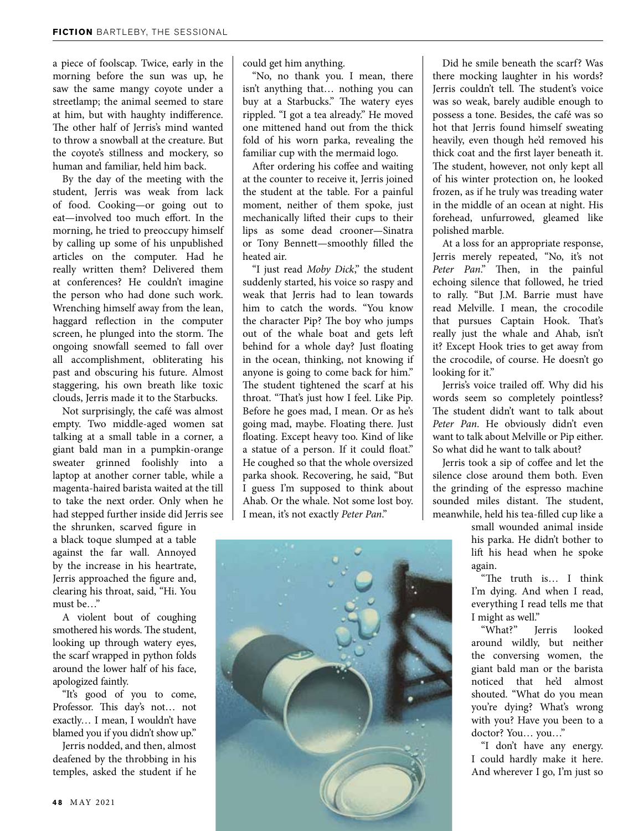a piece of foolscap. Twice, early in the morning before the sun was up, he saw the same mangy coyote under a streetlamp; the animal seemed to stare at him, but with haughty indifference. The other half of Jerris's mind wanted to throw a snowball at the creature. But the coyote's stillness and mockery, so human and familiar, held him back.

By the day of the meeting with the student, Jerris was weak from lack of food. Cooking—or going out to eat—involved too much effort. In the morning, he tried to preoccupy himself by calling up some of his unpublished articles on the computer. Had he really written them? Delivered them at conferences? He couldn't imagine the person who had done such work. Wrenching himself away from the lean, haggard reflection in the computer screen, he plunged into the storm. The ongoing snowfall seemed to fall over all accomplishment, obliterating his past and obscuring his future. Almost staggering, his own breath like toxic clouds, Jerris made it to the Starbucks.

Not surprisingly, the café was almost empty. Two middle-aged women sat talking at a small table in a corner, a giant bald man in a pumpkin-orange sweater grinned foolishly into a laptop at another corner table, while a magenta-haired barista waited at the till to take the next order. Only when he had stepped further inside did Jerris see

the shrunken, scarved figure in a black toque slumped at a table against the far wall. Annoyed by the increase in his heartrate, Jerris approached the figure and, clearing his throat, said, "Hi. You must be…"

A violent bout of coughing smothered his words. The student, looking up through watery eyes, the scarf wrapped in python folds around the lower half of his face, apologized faintly.

"It's good of you to come, Professor. This day's not… not exactly… I mean, I wouldn't have blamed you if you didn't show up."

Jerris nodded, and then, almost deafened by the throbbing in his temples, asked the student if he

could get him anything.

"No, no thank you. I mean, there isn't anything that… nothing you can buy at a Starbucks." The watery eyes rippled. "I got a tea already." He moved one mittened hand out from the thick fold of his worn parka, revealing the familiar cup with the mermaid logo.

After ordering his coffee and waiting at the counter to receive it, Jerris joined the student at the table. For a painful moment, neither of them spoke, just mechanically lifted their cups to their lips as some dead crooner—Sinatra or Tony Bennett—smoothly filled the heated air.

"I just read *Moby Dick*," the student suddenly started, his voice so raspy and weak that Jerris had to lean towards him to catch the words. "You know the character Pip? The boy who jumps out of the whale boat and gets left behind for a whole day? Just floating in the ocean, thinking, not knowing if anyone is going to come back for him." The student tightened the scarf at his throat. "That's just how I feel. Like Pip. Before he goes mad, I mean. Or as he's going mad, maybe. Floating there. Just floating. Except heavy too. Kind of like a statue of a person. If it could float." He coughed so that the whole oversized parka shook. Recovering, he said, "But I guess I'm supposed to think about Ahab. Or the whale. Not some lost boy. I mean, it's not exactly *Peter Pan*."



Did he smile beneath the scarf? Was there mocking laughter in his words? Jerris couldn't tell. The student's voice was so weak, barely audible enough to possess a tone. Besides, the café was so hot that Jerris found himself sweating heavily, even though he'd removed his thick coat and the first layer beneath it. The student, however, not only kept all of his winter protection on, he looked frozen, as if he truly was treading water in the middle of an ocean at night. His forehead, unfurrowed, gleamed like polished marble.

At a loss for an appropriate response, Jerris merely repeated, "No, it's not *Peter Pan*." Then, in the painful echoing silence that followed, he tried to rally. "But J.M. Barrie must have read Melville. I mean, the crocodile that pursues Captain Hook. That's really just the whale and Ahab, isn't it? Except Hook tries to get away from the crocodile, of course. He doesn't go looking for it."

Jerris's voice trailed off. Why did his words seem so completely pointless? The student didn't want to talk about *Peter Pan*. He obviously didn't even want to talk about Melville or Pip either. So what did he want to talk about?

Jerris took a sip of coffee and let the silence close around them both. Even the grinding of the espresso machine sounded miles distant. The student, meanwhile, held his tea-filled cup like a

small wounded animal inside his parka. He didn't bother to lift his head when he spoke again.

"The truth is… I think I'm dying. And when I read, everything I read tells me that I might as well."

"What?" Jerris looked around wildly, but neither the conversing women, the giant bald man or the barista noticed that he'd almost shouted. "What do you mean you're dying? What's wrong with you? Have you been to a doctor? You… you…"

"I don't have any energy. I could hardly make it here. And wherever I go, I'm just so